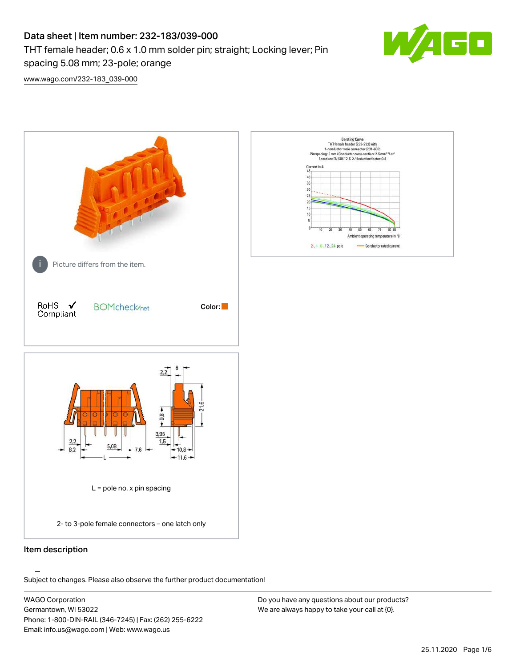## Data sheet | Item number: 232-183/039-000 THT female header; 0.6 x 1.0 mm solder pin; straight; Locking lever; Pin spacing 5.08 mm; 23-pole; orange



[www.wago.com/232-183\\_039-000](http://www.wago.com/232-183_039-000)



### Item description

.<br>Subject to changes. Please also observe the further product documentation!

WAGO Corporation Germantown, WI 53022 Phone: 1-800-DIN-RAIL (346-7245) | Fax: (262) 255-6222 Email: info.us@wago.com | Web: www.wago.us

Do you have any questions about our products? We are always happy to take your call at {0}.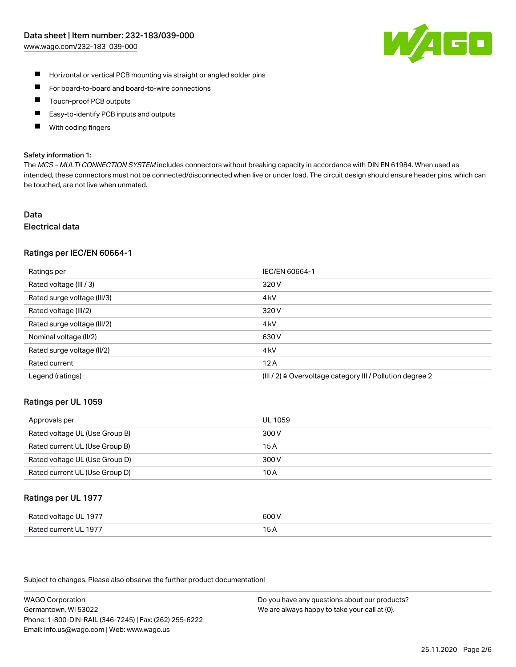

- $\blacksquare$ Horizontal or vertical PCB mounting via straight or angled solder pins
- $\blacksquare$ For board-to-board and board-to-wire connections
- Touch-proof PCB outputs  $\blacksquare$
- П Easy-to-identify PCB inputs and outputs
- П With coding fingers

#### Safety information 1:

The MCS - MULTI CONNECTION SYSTEM includes connectors without breaking capacity in accordance with DIN EN 61984. When used as intended, these connectors must not be connected/disconnected when live or under load. The circuit design should ensure header pins, which can be touched, are not live when unmated.

#### Data Electrical data

# Ratings per IEC/EN 60664-1

| Ratings per                 | IEC/EN 60664-1                                                       |
|-----------------------------|----------------------------------------------------------------------|
| Rated voltage (III / 3)     | 320 V                                                                |
| Rated surge voltage (III/3) | 4 <sub>kV</sub>                                                      |
| Rated voltage (III/2)       | 320 V                                                                |
| Rated surge voltage (III/2) | 4 <sub>kV</sub>                                                      |
| Nominal voltage (II/2)      | 630 V                                                                |
| Rated surge voltage (II/2)  | 4 <sub>kV</sub>                                                      |
| Rated current               | 12A                                                                  |
| Legend (ratings)            | (III / 2) $\triangleq$ Overvoltage category III / Pollution degree 2 |

#### Ratings per UL 1059

| Approvals per                  | UL 1059 |
|--------------------------------|---------|
| Rated voltage UL (Use Group B) | 300 V   |
| Rated current UL (Use Group B) | 15 A    |
| Rated voltage UL (Use Group D) | 300 V   |
| Rated current UL (Use Group D) | 10 A    |

#### Ratings per UL 1977

| Rated voltage UL 1977        | ANN N<br>. ור                                    |
|------------------------------|--------------------------------------------------|
| Rated<br>l current I II–1977 | ، ت<br>$\sim$ $\sim$ $\sim$ $\sim$ $\sim$ $\sim$ |

Subject to changes. Please also observe the further product documentation!

WAGO Corporation Germantown, WI 53022 Phone: 1-800-DIN-RAIL (346-7245) | Fax: (262) 255-6222 Email: info.us@wago.com | Web: www.wago.us

Do you have any questions about our products? We are always happy to take your call at {0}.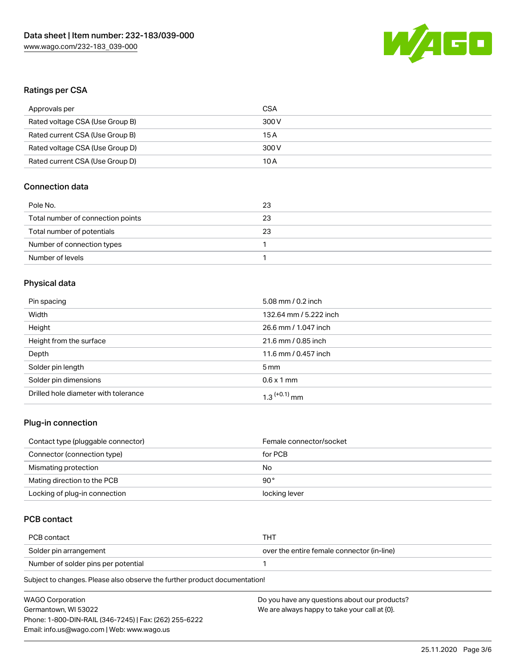

### Ratings per CSA

| Approvals per                   | CSA   |
|---------------------------------|-------|
| Rated voltage CSA (Use Group B) | 300 V |
| Rated current CSA (Use Group B) | 15 A  |
| Rated voltage CSA (Use Group D) | 300 V |
| Rated current CSA (Use Group D) | 10 A  |

## Connection data

| Pole No.                          | 23 |
|-----------------------------------|----|
| Total number of connection points | 23 |
| Total number of potentials        | 23 |
| Number of connection types        |    |
| Number of levels                  |    |

## Physical data

| Pin spacing                          | 5.08 mm / 0.2 inch         |
|--------------------------------------|----------------------------|
| Width                                | 132.64 mm / 5.222 inch     |
| Height                               | 26.6 mm / 1.047 inch       |
| Height from the surface              | 21.6 mm / 0.85 inch        |
| Depth                                | 11.6 mm / 0.457 inch       |
| Solder pin length                    | 5 <sub>mm</sub>            |
| Solder pin dimensions                | $0.6 \times 1$ mm          |
| Drilled hole diameter with tolerance | $1.3$ <sup>(+0.1)</sup> mm |

### Plug-in connection

| Contact type (pluggable connector) | Female connector/socket |
|------------------------------------|-------------------------|
| Connector (connection type)        | for PCB                 |
| Mismating protection               | No                      |
| Mating direction to the PCB        | 90 $^{\circ}$           |
| Locking of plug-in connection      | locking lever           |

## PCB contact

| PCB contact                         | THT                                        |
|-------------------------------------|--------------------------------------------|
| Solder pin arrangement              | over the entire female connector (in-line) |
| Number of solder pins per potential |                                            |

Subject to changes. Please also observe the further product documentation!

| <b>WAGO Corporation</b>                                | Do you have any questions about our products? |
|--------------------------------------------------------|-----------------------------------------------|
| Germantown, WI 53022                                   | We are always happy to take your call at {0}. |
| Phone: 1-800-DIN-RAIL (346-7245)   Fax: (262) 255-6222 |                                               |
| Email: info.us@wago.com   Web: www.wago.us             |                                               |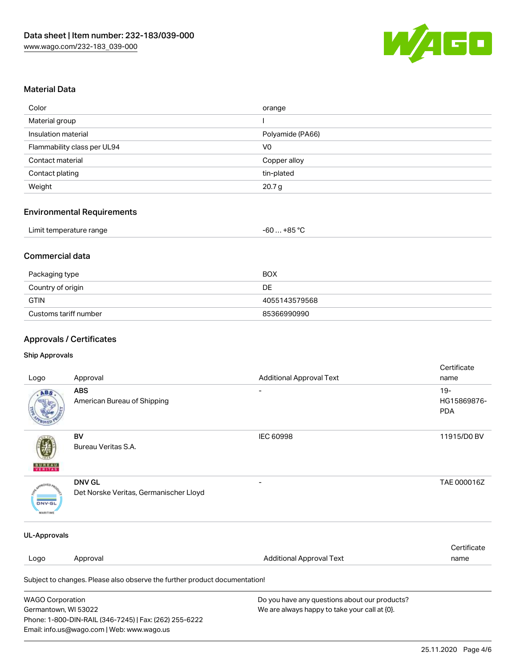

### Material Data

| Color                       | orange            |
|-----------------------------|-------------------|
| Material group              |                   |
| Insulation material         | Polyamide (PA66)  |
| Flammability class per UL94 | V <sub>0</sub>    |
| Contact material            | Copper alloy      |
| Contact plating             | tin-plated        |
| Weight                      | 20.7 <sub>g</sub> |

#### Environmental Requirements

## Commercial data

| Packaging type        | BOX           |
|-----------------------|---------------|
| Country of origin     | DE            |
| GTIN                  | 4055143579568 |
| Customs tariff number | 85366990990   |

## Approvals / Certificates

Email: info.us@wago.com | Web: www.wago.us

#### Ship Approvals

| Logo                                                                                                      | Approval                                                                   | <b>Additional Approval Text</b>                                                                | Certificate<br>name                 |
|-----------------------------------------------------------------------------------------------------------|----------------------------------------------------------------------------|------------------------------------------------------------------------------------------------|-------------------------------------|
| ABS                                                                                                       | <b>ABS</b><br>American Bureau of Shipping                                  |                                                                                                | $19 -$<br>HG15869876-<br><b>PDA</b> |
| VERITAS                                                                                                   | BV<br>Bureau Veritas S.A.                                                  | <b>IEC 60998</b>                                                                               | 11915/D0 BV                         |
| <b>DNV-GL</b><br><b>MARITIME</b>                                                                          | <b>DNV GL</b><br>Det Norske Veritas, Germanischer Lloyd                    |                                                                                                | TAE 000016Z                         |
| <b>UL-Approvals</b>                                                                                       |                                                                            |                                                                                                |                                     |
| Logo                                                                                                      | Approval                                                                   | <b>Additional Approval Text</b>                                                                | Certificate<br>name                 |
|                                                                                                           | Subject to changes. Please also observe the further product documentation! |                                                                                                |                                     |
| <b>WAGO Corporation</b><br>Germantown, WI 53022<br>Phone: 1-800-DIN-RAIL (346-7245)   Fax: (262) 255-6222 |                                                                            | Do you have any questions about our products?<br>We are always happy to take your call at {0}. |                                     |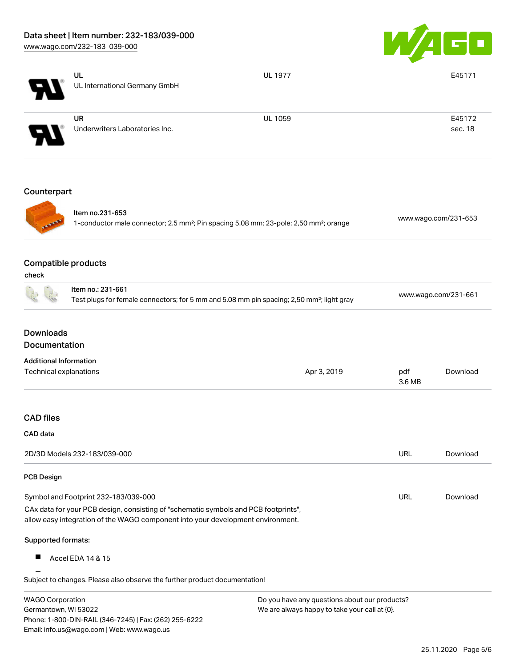Email: info.us@wago.com | Web: www.wago.us



|                                                                                                                                 | UL<br>UL International Germany GmbH                                                                                                                                    | <b>UL 1977</b>                                |               | E45171               |  |
|---------------------------------------------------------------------------------------------------------------------------------|------------------------------------------------------------------------------------------------------------------------------------------------------------------------|-----------------------------------------------|---------------|----------------------|--|
|                                                                                                                                 |                                                                                                                                                                        |                                               |               |                      |  |
|                                                                                                                                 | <b>UR</b>                                                                                                                                                              | <b>UL 1059</b>                                |               | E45172               |  |
|                                                                                                                                 | Underwriters Laboratories Inc.                                                                                                                                         |                                               |               | sec. 18              |  |
| Counterpart                                                                                                                     |                                                                                                                                                                        |                                               |               |                      |  |
|                                                                                                                                 | Item no.231-653<br>1-conductor male connector; 2.5 mm <sup>2</sup> ; Pin spacing 5.08 mm; 23-pole; 2,50 mm <sup>2</sup> ; orange                                       |                                               |               | www.wago.com/231-653 |  |
| <b>Compatible products</b><br>check                                                                                             |                                                                                                                                                                        |                                               |               |                      |  |
|                                                                                                                                 | Item no.: 231-661<br>Test plugs for female connectors; for 5 mm and 5.08 mm pin spacing; 2,50 mm <sup>2</sup> ; light gray                                             |                                               |               | www.wago.com/231-661 |  |
| <b>Downloads</b><br>Documentation                                                                                               |                                                                                                                                                                        |                                               |               |                      |  |
| <b>Additional Information</b>                                                                                                   |                                                                                                                                                                        |                                               |               |                      |  |
| Technical explanations                                                                                                          |                                                                                                                                                                        | Apr 3, 2019                                   | pdf<br>3.6 MB | Download             |  |
| <b>CAD</b> files                                                                                                                |                                                                                                                                                                        |                                               |               |                      |  |
| CAD data                                                                                                                        |                                                                                                                                                                        |                                               |               |                      |  |
| 2D/3D Models 232-183/039-000                                                                                                    |                                                                                                                                                                        |                                               | URL           | Download             |  |
| <b>PCB Design</b>                                                                                                               |                                                                                                                                                                        |                                               |               |                      |  |
|                                                                                                                                 | Symbol and Footprint 232-183/039-000                                                                                                                                   |                                               | URL           | Download             |  |
|                                                                                                                                 | CAx data for your PCB design, consisting of "schematic symbols and PCB footprints",<br>allow easy integration of the WAGO component into your development environment. |                                               |               |                      |  |
| Supported formats:                                                                                                              |                                                                                                                                                                        |                                               |               |                      |  |
|                                                                                                                                 | Accel EDA 14 & 15                                                                                                                                                      |                                               |               |                      |  |
|                                                                                                                                 | Subject to changes. Please also observe the further product documentation!                                                                                             |                                               |               |                      |  |
| <b>WAGO Corporation</b>                                                                                                         |                                                                                                                                                                        | Do you have any questions about our products? |               |                      |  |
| Germantown, WI 53022<br>We are always happy to take your call at {0}.<br>Phone: 1-800-DIN-RAIL (346-7245)   Fax: (262) 255-6222 |                                                                                                                                                                        |                                               |               |                      |  |